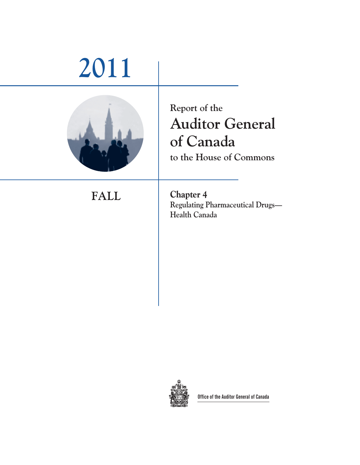# **2011**



**Report of the Auditor General of Canada to the House of Commons** 

**FALL Chapter 4 Regulating Pharmaceutical Drugs— Health Canada** 



**Office of the Auditor General of Canada**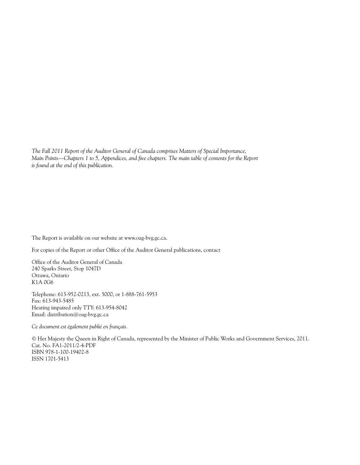*The Fall 2011 Report of the Auditor General of Canada comprises Matters of Special Importance, Main Points—Chapters 1 to 5, Appendices, and five chapters. The main table of contents for the Report is found at the end of this publication.*

The Report is available on our website at www.oag-bvg.gc.ca.

For copies of the Report or other Office of the Auditor General publications, contact

Office of the Auditor General of Canada 240 Sparks Street, Stop 1047D Ottawa, Ontario K1A 0G6

Telephone: 613-952-0213, ext. 5000, or 1-888-761-5953 Fax: 613-943-5485 Hearing impaired only TTY: 613-954-8042 Email: distribution@oag-bvg.gc.ca

*Ce document est également publié en français.*

© Her Majesty the Queen in Right of Canada, represented by the Minister of Public Works and Government Services, 2011. Cat. No. FA1-2011/2-4-PDF ISBN 978-1-100-19402-8 ISSN 1701-5413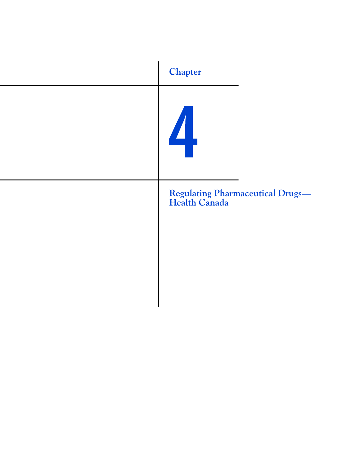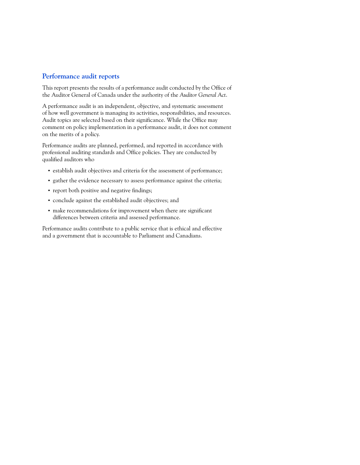#### **Performance audit reports**

This report presents the results of a performance audit conducted by the Office of the Auditor General of Canada under the authority of the *Auditor General Act*.

A performance audit is an independent, objective, and systematic assessment of how well government is managing its activities, responsibilities, and resources. Audit topics are selected based on their significance. While the Office may comment on policy implementation in a performance audit, it does not comment on the merits of a policy.

Performance audits are planned, performed, and reported in accordance with professional auditing standards and Office policies. They are conducted by qualified auditors who

- **•** establish audit objectives and criteria for the assessment of performance;
- **•** gather the evidence necessary to assess performance against the criteria;
- **•** report both positive and negative findings;
- **•** conclude against the established audit objectives; and
- **•** make recommendations for improvement when there are significant differences between criteria and assessed performance.

Performance audits contribute to a public service that is ethical and effective and a government that is accountable to Parliament and Canadians.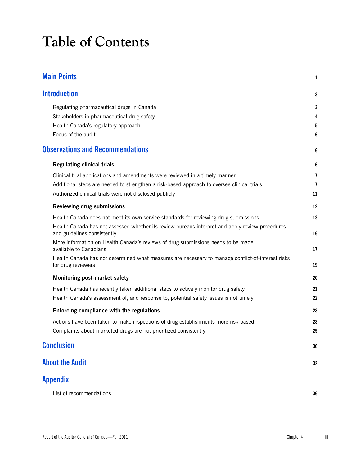# **Table of Contents**

| <b>Main Points</b>                                                                                                             | 1              |
|--------------------------------------------------------------------------------------------------------------------------------|----------------|
| <b>Introduction</b>                                                                                                            | 3              |
| Regulating pharmaceutical drugs in Canada                                                                                      | 3              |
| Stakeholders in pharmaceutical drug safety                                                                                     | 4              |
| Health Canada's regulatory approach                                                                                            | 5              |
| Focus of the audit                                                                                                             | 6              |
| <b>Observations and Recommendations</b>                                                                                        | 6              |
| <b>Regulating clinical trials</b>                                                                                              | 6              |
| Clinical trial applications and amendments were reviewed in a timely manner                                                    | $\overline{1}$ |
| Additional steps are needed to strengthen a risk-based approach to oversee clinical trials                                     | $\overline{1}$ |
| Authorized clinical trials were not disclosed publicly                                                                         | 11             |
| <b>Reviewing drug submissions</b>                                                                                              | 12             |
| Health Canada does not meet its own service standards for reviewing drug submissions                                           | 13             |
| Health Canada has not assessed whether its review bureaus interpret and apply review procedures<br>and guidelines consistently | 16             |
| More information on Health Canada's reviews of drug submissions needs to be made<br>available to Canadians                     | 17             |
| Health Canada has not determined what measures are necessary to manage conflict-of-interest risks<br>for drug reviewers        | 19             |
| Monitoring post-market safety                                                                                                  | 20             |
| Health Canada has recently taken additional steps to actively monitor drug safety                                              | 21             |
| Health Canada's assessment of, and response to, potential safety issues is not timely                                          | 22             |
| Enforcing compliance with the regulations                                                                                      | 28             |
| Actions have been taken to make inspections of drug establishments more risk-based                                             | 28             |
| Complaints about marketed drugs are not prioritized consistently                                                               | 29             |
| <b>Conclusion</b>                                                                                                              | 30             |
| <b>About the Audit</b>                                                                                                         | 32             |
| Appendix                                                                                                                       |                |
| List of recommendations                                                                                                        | 36             |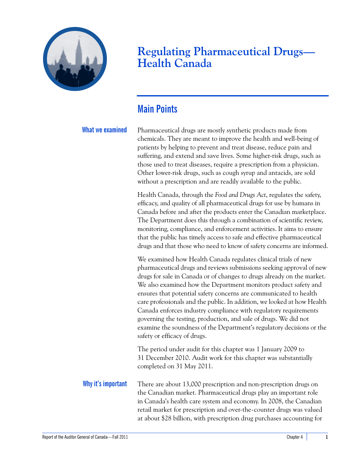

## **Regulating Pharmaceutical Drugs— Health Canada**

## <span id="page-6-0"></span>**Main Points**

**What we examined** Pharmaceutical drugs are mostly synthetic products made from chemicals. They are meant to improve the health and well-being of patients by helping to prevent and treat disease, reduce pain and suffering, and extend and save lives. Some higher-risk drugs, such as those used to treat diseases, require a prescription from a physician. Other lower-risk drugs, such as cough syrup and antacids, are sold without a prescription and are readily available to the public.

> Health Canada, through the *Food and Drugs Act*, regulates the safety, efficacy, and quality of all pharmaceutical drugs for use by humans in Canada before and after the products enter the Canadian marketplace. The Department does this through a combination of scientific review, monitoring, compliance, and enforcement activities. It aims to ensure that the public has timely access to safe and effective pharmaceutical drugs and that those who need to know of safety concerns are informed.

> We examined how Health Canada regulates clinical trials of new pharmaceutical drugs and reviews submissions seeking approval of new drugs for sale in Canada or of changes to drugs already on the market. We also examined how the Department monitors product safety and ensures that potential safety concerns are communicated to health care professionals and the public. In addition, we looked at how Health Canada enforces industry compliance with regulatory requirements governing the testing, production, and sale of drugs. We did not examine the soundness of the Department's regulatory decisions or the safety or efficacy of drugs.

The period under audit for this chapter was 1 January 2009 to 31 December 2010. Audit work for this chapter was substantially completed on 31 May 2011.

**Why it's important** There are about 13,000 prescription and non-prescription drugs on the Canadian market. Pharmaceutical drugs play an important role in Canada's health care system and economy. In 2008, the Canadian retail market for prescription and over-the-counter drugs was valued at about \$28 billion, with prescription drug purchases accounting for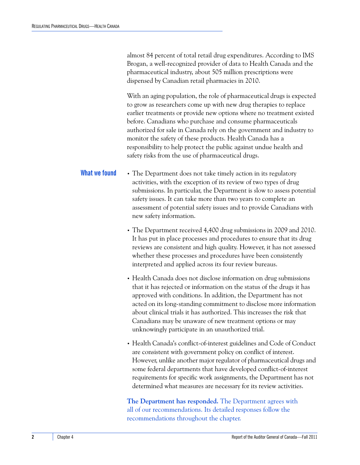almost 84 percent of total retail drug expenditures. According to IMS Brogan, a well-recognized provider of data to Health Canada and the pharmaceutical industry, about 505 million prescriptions were dispensed by Canadian retail pharmacies in 2010.

With an aging population, the role of pharmaceutical drugs is expected to grow as researchers come up with new drug therapies to replace earlier treatments or provide new options where no treatment existed before. Canadians who purchase and consume pharmaceuticals authorized for sale in Canada rely on the government and industry to monitor the safety of these products. Health Canada has a responsibility to help protect the public against undue health and safety risks from the use of pharmaceutical drugs.

- **What we found** The Department does not take timely action in its regulatory activities, with the exception of its review of two types of drug submissions. In particular, the Department is slow to assess potential safety issues. It can take more than two years to complete an assessment of potential safety issues and to provide Canadians with new safety information.
	- **•** The Department received 4,400 drug submissions in 2009 and 2010. It has put in place processes and procedures to ensure that its drug reviews are consistent and high quality. However, it has not assessed whether these processes and procedures have been consistently interpreted and applied across its four review bureaus.
	- **•** Health Canada does not disclose information on drug submissions that it has rejected or information on the status of the drugs it has approved with conditions. In addition, the Department has not acted on its long-standing commitment to disclose more information about clinical trials it has authorized. This increases the risk that Canadians may be unaware of new treatment options or may unknowingly participate in an unauthorized trial.
	- **•** Health Canada's conflict-of-interest guidelines and Code of Conduct are consistent with government policy on conflict of interest. However, unlike another major regulator of pharmaceutical drugs and some federal departments that have developed conflict-of-interest requirements for specific work assignments, the Department has not determined what measures are necessary for its review activities.

**The Department has responded.** The Department agrees with all of our recommendations. Its detailed responses follow the recommendations throughout the chapter.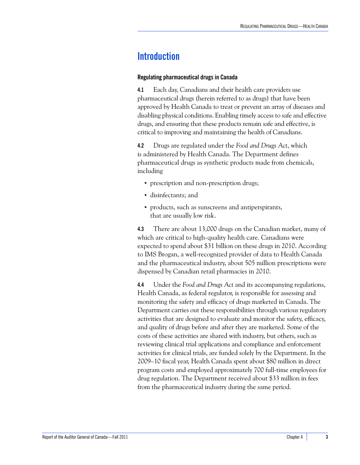## <span id="page-8-0"></span>**Introduction**

#### <span id="page-8-1"></span>**Regulating pharmaceutical drugs in Canada**

**4.1** Each day, Canadians and their health care providers use pharmaceutical drugs (herein referred to as drugs) that have been approved by Health Canada to treat or prevent an array of diseases and disabling physical conditions. Enabling timely access to safe and effective drugs, and ensuring that these products remain safe and effective, is critical to improving and maintaining the health of Canadians.

**4.2** Drugs are regulated under the *Food and Drugs Act*, which is administered by Health Canada. The Department defines pharmaceutical drugs as synthetic products made from chemicals, including

- **•** prescription and non-prescription drugs;
- **•** disinfectants; and
- **•** products, such as sunscreens and antiperspirants, that are usually low risk.

**4.3** There are about 13,000 drugs on the Canadian market, many of which are critical to high-quality health care. Canadians were expected to spend about \$31 billion on these drugs in 2010. According to IMS Brogan, a well-recognized provider of data to Health Canada and the pharmaceutical industry, about 505 million prescriptions were dispensed by Canadian retail pharmacies in 2010.

**4.4** Under the *Food and Drugs Act* and its accompanying regulations, Health Canada, as federal regulator, is responsible for assessing and monitoring the safety and efficacy of drugs marketed in Canada. The Department carries out these responsibilities through various regulatory activities that are designed to evaluate and monitor the safety, efficacy, and quality of drugs before and after they are marketed. Some of the costs of these activities are shared with industry, but others, such as reviewing clinical trial applications and compliance and enforcement activities for clinical trials, are funded solely by the Department. In the 2009–10 fiscal year, Health Canada spent about \$80 million in direct program costs and employed approximately 700 full-time employees for drug regulation. The Department received about \$33 million in fees from the pharmaceutical industry during the same period.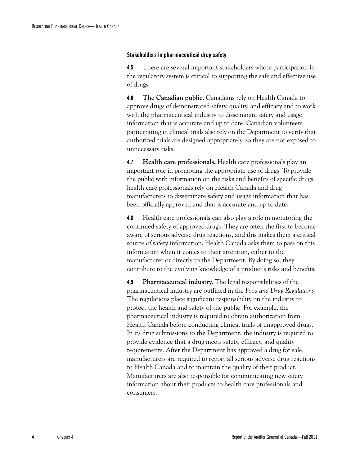#### <span id="page-9-0"></span>**Stakeholders in pharmaceutical drug safety**

**4.5** There are several important stakeholders whose participation in the regulatory system is critical to supporting the safe and effective use of drugs.

**4.6 The Canadian public.** Canadians rely on Health Canada to approve drugs of demonstrated safety, quality, and efficacy and to work with the pharmaceutical industry to disseminate safety and usage information that is accurate and up to date. Canadian volunteers participating in clinical trials also rely on the Department to verify that authorized trials are designed appropriately, so they are not exposed to unnecessary risks.

**4.7 Health care professionals.** Health care professionals play an important role in promoting the appropriate use of drugs. To provide the public with information on the risks and benefits of specific drugs, health care professionals rely on Health Canada and drug manufacturers to disseminate safety and usage information that has been officially approved and that is accurate and up to date.

**4.8** Health care professionals can also play a role in monitoring the continued safety of approved drugs. They are often the first to become aware of serious adverse drug reactions, and this makes them a critical source of safety information. Health Canada asks them to pass on this information when it comes to their attention, either to the manufacturer or directly to the Department. By doing so, they contribute to the evolving knowledge of a product's risks and benefits.

**4.9 Pharmaceutical industry.** The legal responsibilities of the pharmaceutical industry are outlined in the *Food and Drug Regulations*. The regulations place significant responsibility on the industry to protect the health and safety of the public. For example, the pharmaceutical industry is required to obtain authorization from Health Canada before conducting clinical trials of unapproved drugs. In its drug submissions to the Department, the industry is required to provide evidence that a drug meets safety, efficacy, and quality requirements. After the Department has approved a drug for sale, manufacturers are required to report all serious adverse drug reactions to Health Canada and to maintain the quality of their product. Manufacturers are also responsible for communicating new safety information about their products to health care professionals and consumers.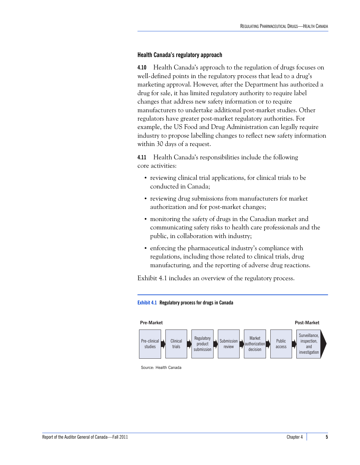#### <span id="page-10-0"></span>**Health Canada's regulatory approach**

**4.10** Health Canada's approach to the regulation of drugs focuses on well-defined points in the regulatory process that lead to a drug's marketing approval. However, after the Department has authorized a drug for sale, it has limited regulatory authority to require label changes that address new safety information or to require manufacturers to undertake additional post-market studies. Other regulators have greater post-market regulatory authorities. For example, the US Food and Drug Administration can legally require industry to propose labelling changes to reflect new safety information within 30 days of a request.

**4.11** Health Canada's responsibilities include the following core activities:

- reviewing clinical trial applications, for clinical trials to be conducted in Canada;
- **•** reviewing drug submissions from manufacturers for market authorization and for post-market changes;
- **•** monitoring the safety of drugs in the Canadian market and communicating safety risks to health care professionals and the public, in collaboration with industry;
- **•** enforcing the pharmaceutical industry's compliance with regulations, including those related to clinical trials, drug manufacturing, and the reporting of adverse drug reactions.

Exhibit 4.1 includes an overview of the regulatory process.





Source: Health Canada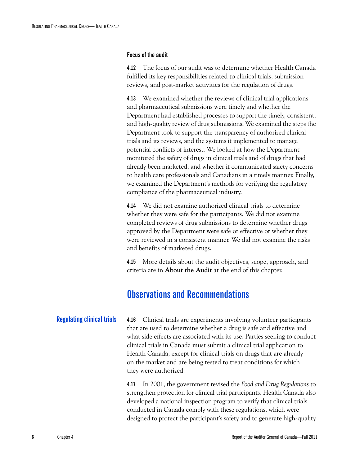#### <span id="page-11-0"></span>**Focus of the audit**

**4.12** The focus of our audit was to determine whether Health Canada fulfilled its key responsibilities related to clinical trials, submission reviews, and post-market activities for the regulation of drugs.

**4.13** We examined whether the reviews of clinical trial applications and pharmaceutical submissions were timely and whether the Department had established processes to support the timely, consistent, and high-quality review of drug submissions. We examined the steps the Department took to support the transparency of authorized clinical trials and its reviews, and the systems it implemented to manage potential conflicts of interest. We looked at how the Department monitored the safety of drugs in clinical trials and of drugs that had already been marketed, and whether it communicated safety concerns to health care professionals and Canadians in a timely manner. Finally, we examined the Department's methods for verifying the regulatory compliance of the pharmaceutical industry.

**4.14** We did not examine authorized clinical trials to determine whether they were safe for the participants. We did not examine completed reviews of drug submissions to determine whether drugs approved by the Department were safe or effective or whether they were reviewed in a consistent manner. We did not examine the risks and benefits of marketed drugs.

**4.15** More details about the audit objectives, scope, approach, and criteria are in **About the Audit** at the end of this chapter.

## <span id="page-11-1"></span>**Observations and Recommendations**

<span id="page-11-2"></span>**Regulating clinical trials 4.16** Clinical trials are experiments involving volunteer participants that are used to determine whether a drug is safe and effective and what side effects are associated with its use. Parties seeking to conduct clinical trials in Canada must submit a clinical trial application to Health Canada, except for clinical trials on drugs that are already on the market and are being tested to treat conditions for which they were authorized.

> **4.17** In 2001, the government revised the *Food and Drug Regulations* to strengthen protection for clinical trial participants. Health Canada also developed a national inspection program to verify that clinical trials conducted in Canada comply with these regulations, which were designed to protect the participant's safety and to generate high-quality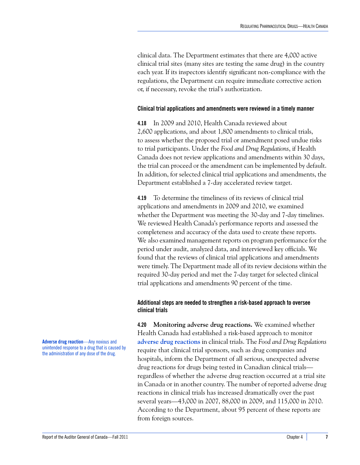clinical data. The Department estimates that there are 4,000 active clinical trial sites (many sites are testing the same drug) in the country each year. If its inspectors identify significant non-compliance with the regulations, the Department can require immediate corrective action or, if necessary, revoke the trial's authorization.

#### <span id="page-12-0"></span>**Clinical trial applications and amendments were reviewed in a timely manner**

**4.18** In 2009 and 2010, Health Canada reviewed about 2,600 applications, and about 1,800 amendments to clinical trials, to assess whether the proposed trial or amendment posed undue risks to trial participants. Under the *Food and Drug Regulations*, if Health Canada does not review applications and amendments within 30 days, the trial can proceed or the amendment can be implemented by default. In addition, for selected clinical trial applications and amendments, the Department established a 7-day accelerated review target.

**4.19** To determine the timeliness of its reviews of clinical trial applications and amendments in 2009 and 2010, we examined whether the Department was meeting the 30-day and 7-day timelines. We reviewed Health Canada's performance reports and assessed the completeness and accuracy of the data used to create these reports. We also examined management reports on program performance for the period under audit, analyzed data, and interviewed key officials. We found that the reviews of clinical trial applications and amendments were timely. The Department made all of its review decisions within the required 30-day period and met the 7-day target for selected clinical trial applications and amendments 90 percent of the time.

#### <span id="page-12-1"></span>**Additional steps are needed to strengthen a risk-based approach to oversee clinical trials**

**4.20 Monitoring adverse drug reactions.** We examined whether Health Canada had established a risk-based approach to monitor **adverse drug reactions** in clinical trials. The *Food and Drug Regulations* require that clinical trial sponsors, such as drug companies and hospitals, inform the Department of all serious, unexpected adverse drug reactions for drugs being tested in Canadian clinical trials regardless of whether the adverse drug reaction occurred at a trial site in Canada or in another country. The number of reported adverse drug reactions in clinical trials has increased dramatically over the past several years—43,000 in 2007, 88,000 in 2009, and 115,000 in 2010. According to the Department, about 95 percent of these reports are from foreign sources.

**Adverse drug reaction**—Any noxious and unintended response to a drug that is caused by the administration of any dose of the drug.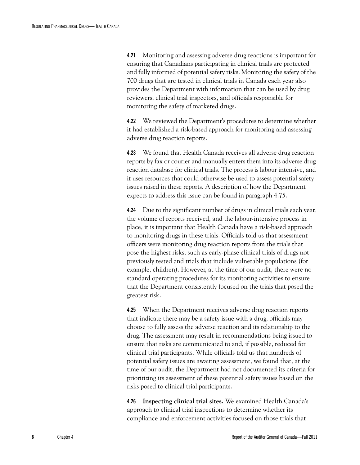**4.21** Monitoring and assessing adverse drug reactions is important for ensuring that Canadians participating in clinical trials are protected and fully informed of potential safety risks. Monitoring the safety of the 700 drugs that are tested in clinical trials in Canada each year also provides the Department with information that can be used by drug reviewers, clinical trial inspectors, and officials responsible for monitoring the safety of marketed drugs.

**4.22** We reviewed the Department's procedures to determine whether it had established a risk-based approach for monitoring and assessing adverse drug reaction reports.

**4.23** We found that Health Canada receives all adverse drug reaction reports by fax or courier and manually enters them into its adverse drug reaction database for clinical trials. The process is labour intensive, and it uses resources that could otherwise be used to assess potential safety issues raised in these reports. A description of how the Department expects to address this issue can be found in paragraph 4.75.

**4.24** Due to the significant number of drugs in clinical trials each year, the volume of reports received, and the labour-intensive process in place, it is important that Health Canada have a risk-based approach to monitoring drugs in these trials. Officials told us that assessment officers were monitoring drug reaction reports from the trials that pose the highest risks, such as early-phase clinical trials of drugs not previously tested and trials that include vulnerable populations (for example, children). However, at the time of our audit, there were no standard operating procedures for its monitoring activities to ensure that the Department consistently focused on the trials that posed the greatest risk.

**4.25** When the Department receives adverse drug reaction reports that indicate there may be a safety issue with a drug, officials may choose to fully assess the adverse reaction and its relationship to the drug. The assessment may result in recommendations being issued to ensure that risks are communicated to and, if possible, reduced for clinical trial participants. While officials told us that hundreds of potential safety issues are awaiting assessment, we found that, at the time of our audit, the Department had not documented its criteria for prioritizing its assessment of these potential safety issues based on the risks posed to clinical trial participants.

**4.26 Inspecting clinical trial sites.** We examined Health Canada's approach to clinical trial inspections to determine whether its compliance and enforcement activities focused on those trials that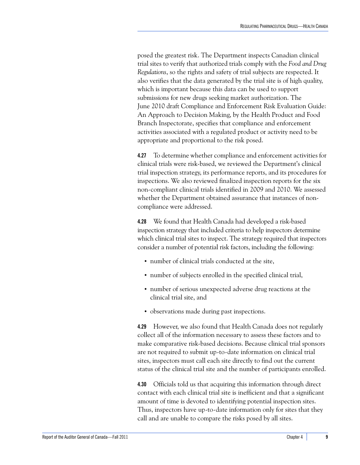posed the greatest risk. The Department inspects Canadian clinical trial sites to verify that authorized trials comply with the *Food and Drug Regulations*, so the rights and safety of trial subjects are respected. It also verifies that the data generated by the trial site is of high quality, which is important because this data can be used to support submissions for new drugs seeking market authorization. The June 2010 draft Compliance and Enforcement Risk Evaluation Guide: An Approach to Decision Making, by the Health Product and Food Branch Inspectorate, specifies that compliance and enforcement activities associated with a regulated product or activity need to be appropriate and proportional to the risk posed.

**4.27** To determine whether compliance and enforcement activities for clinical trials were risk-based, we reviewed the Department's clinical trial inspection strategy, its performance reports, and its procedures for inspections. We also reviewed finalized inspection reports for the six non-compliant clinical trials identified in 2009 and 2010. We assessed whether the Department obtained assurance that instances of noncompliance were addressed.

**4.28** We found that Health Canada had developed a risk-based inspection strategy that included criteria to help inspectors determine which clinical trial sites to inspect. The strategy required that inspectors consider a number of potential risk factors, including the following:

- **•** number of clinical trials conducted at the site,
- **•** number of subjects enrolled in the specified clinical trial,
- **•** number of serious unexpected adverse drug reactions at the clinical trial site, and
- **•** observations made during past inspections.

**4.29** However, we also found that Health Canada does not regularly collect all of the information necessary to assess these factors and to make comparative risk-based decisions. Because clinical trial sponsors are not required to submit up-to-date information on clinical trial sites, inspectors must call each site directly to find out the current status of the clinical trial site and the number of participants enrolled.

**4.30** Officials told us that acquiring this information through direct contact with each clinical trial site is inefficient and that a significant amount of time is devoted to identifying potential inspection sites. Thus, inspectors have up-to-date information only for sites that they call and are unable to compare the risks posed by all sites.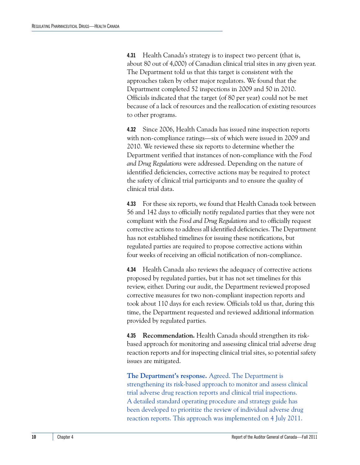**4.31** Health Canada's strategy is to inspect two percent (that is, about 80 out of 4,000) of Canadian clinical trial sites in any given year. The Department told us that this target is consistent with the approaches taken by other major regulators. We found that the Department completed 52 inspections in 2009 and 50 in 2010. Officials indicated that the target (of 80 per year) could not be met because of a lack of resources and the reallocation of existing resources to other programs.

**4.32** Since 2006, Health Canada has issued nine inspection reports with non-compliance ratings—six of which were issued in 2009 and 2010. We reviewed these six reports to determine whether the Department verified that instances of non-compliance with the *Food and Drug Regulations* were addressed. Depending on the nature of identified deficiencies, corrective actions may be required to protect the safety of clinical trial participants and to ensure the quality of clinical trial data.

**4.33** For these six reports, we found that Health Canada took between 56 and 142 days to officially notify regulated parties that they were not compliant with the *Food and Drug Regulations* and to officially request corrective actions to address all identified deficiencies. The Department has not established timelines for issuing these notifications, but regulated parties are required to propose corrective actions within four weeks of receiving an official notification of non-compliance.

**4.34** Health Canada also reviews the adequacy of corrective actions proposed by regulated parties, but it has not set timelines for this review, either. During our audit, the Department reviewed proposed corrective measures for two non-compliant inspection reports and took about 110 days for each review. Officials told us that, during this time, the Department requested and reviewed additional information provided by regulated parties.

**4.35 Recommendation.** Health Canada should strengthen its riskbased approach for monitoring and assessing clinical trial adverse drug reaction reports and for inspecting clinical trial sites, so potential safety issues are mitigated.

**The Department's response.** Agreed. The Department is strengthening its risk-based approach to monitor and assess clinical trial adverse drug reaction reports and clinical trial inspections. A detailed standard operating procedure and strategy guide has been developed to prioritize the review of individual adverse drug reaction reports. This approach was implemented on 4 July 2011.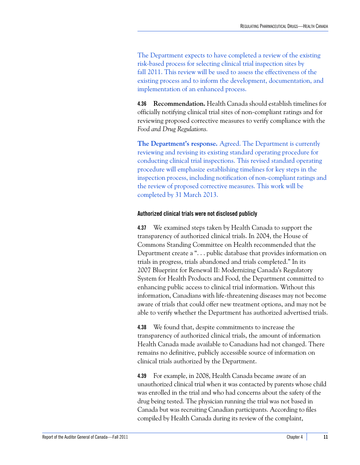The Department expects to have completed a review of the existing risk-based process for selecting clinical trial inspection sites by fall 2011. This review will be used to assess the effectiveness of the existing process and to inform the development, documentation, and implementation of an enhanced process.

**4.36 Recommendation.** Health Canada should establish timelines for officially notifying clinical trial sites of non-compliant ratings and for reviewing proposed corrective measures to verify compliance with the *Food and Drug Regulations.*

**The Department's response.** Agreed. The Department is currently reviewing and revising its existing standard operating procedure for conducting clinical trial inspections. This revised standard operating procedure will emphasize establishing timelines for key steps in the inspection process, including notification of non-compliant ratings and the review of proposed corrective measures. This work will be completed by 31 March 2013.

#### <span id="page-16-0"></span>**Authorized clinical trials were not disclosed publicly**

**4.37** We examined steps taken by Health Canada to support the transparency of authorized clinical trials. In 2004, the House of Commons Standing Committee on Health recommended that the Department create a ". . . public database that provides information on trials in progress, trials abandoned and trials completed." In its 2007 Blueprint for Renewal II: Modernizing Canada's Regulatory System for Health Products and Food, the Department committed to enhancing public access to clinical trial information. Without this information, Canadians with life-threatening diseases may not become aware of trials that could offer new treatment options, and may not be able to verify whether the Department has authorized advertised trials.

**4.38** We found that, despite commitments to increase the transparency of authorized clinical trials, the amount of information Health Canada made available to Canadians had not changed. There remains no definitive, publicly accessible source of information on clinical trials authorized by the Department.

**4.39** For example, in 2008, Health Canada became aware of an unauthorized clinical trial when it was contacted by parents whose child was enrolled in the trial and who had concerns about the safety of the drug being tested. The physician running the trial was not based in Canada but was recruiting Canadian participants. According to files compiled by Health Canada during its review of the complaint,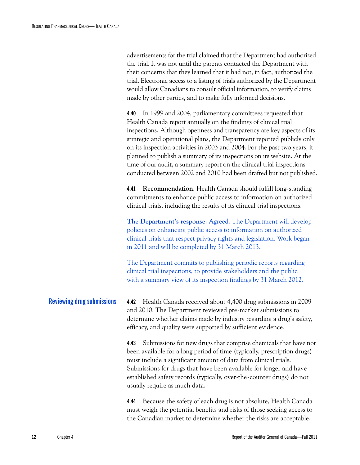advertisements for the trial claimed that the Department had authorized the trial. It was not until the parents contacted the Department with their concerns that they learned that it had not, in fact, authorized the trial. Electronic access to a listing of trials authorized by the Department would allow Canadians to consult official information, to verify claims made by other parties, and to make fully informed decisions.

**4.40** In 1999 and 2004, parliamentary committees requested that Health Canada report annually on the findings of clinical trial inspections. Although openness and transparency are key aspects of its strategic and operational plans, the Department reported publicly only on its inspection activities in 2003 and 2004. For the past two years, it planned to publish a summary of its inspections on its website. At the time of our audit, a summary report on the clinical trial inspections conducted between 2002 and 2010 had been drafted but not published.

**4.41 Recommendation.** Health Canada should fulfill long-standing commitments to enhance public access to information on authorized clinical trials, including the results of its clinical trial inspections.

**The Department's response.** Agreed. The Department will develop policies on enhancing public access to information on authorized clinical trials that respect privacy rights and legislation. Work began in 2011 and will be completed by 31 March 2013.

The Department commits to publishing periodic reports regarding clinical trial inspections, to provide stakeholders and the public with a summary view of its inspection findings by 31 March 2012.

<span id="page-17-0"></span>**Reviewing drug submissions 4.42** Health Canada received about 4,400 drug submissions in 2009 and 2010. The Department reviewed pre-market submissions to determine whether claims made by industry regarding a drug's safety, efficacy, and quality were supported by sufficient evidence.

> **4.43** Submissions for new drugs that comprise chemicals that have not been available for a long period of time (typically, prescription drugs) must include a significant amount of data from clinical trials. Submissions for drugs that have been available for longer and have established safety records (typically, over-the-counter drugs) do not usually require as much data.

**4.44** Because the safety of each drug is not absolute, Health Canada must weigh the potential benefits and risks of those seeking access to the Canadian market to determine whether the risks are acceptable.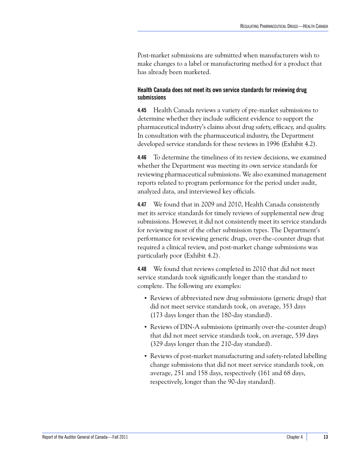Post-market submissions are submitted when manufacturers wish to make changes to a label or manufacturing method for a product that has already been marketed.

#### <span id="page-18-0"></span>**Health Canada does not meet its own service standards for reviewing drug submissions**

**4.45** Health Canada reviews a variety of pre-market submissions to determine whether they include sufficient evidence to support the pharmaceutical industry's claims about drug safety, efficacy, and quality. In consultation with the pharmaceutical industry, the Department developed service standards for these reviews in 1996 (Exhibit 4.2).

**4.46** To determine the timeliness of its review decisions, we examined whether the Department was meeting its own service standards for reviewing pharmaceutical submissions. We also examined management reports related to program performance for the period under audit, analyzed data, and interviewed key officials.

**4.47** We found that in 2009 and 2010, Health Canada consistently met its service standards for timely reviews of supplemental new drug submissions. However, it did not consistently meet its service standards for reviewing most of the other submission types. The Department's performance for reviewing generic drugs, over-the-counter drugs that required a clinical review, and post-market change submissions was particularly poor (Exhibit 4.2).

**4.48** We found that reviews completed in 2010 that did not meet service standards took significantly longer than the standard to complete. The following are examples:

- **•** Reviews of abbreviated new drug submissions (generic drugs) that did not meet service standards took, on average, 353 days (173 days longer than the 180-day standard).
- **•** Reviews of DIN-A submissions (primarily over-the-counter drugs) that did not meet service standards took, on average, 539 days (329 days longer than the 210-day standard).
- **•** Reviews of post-market manufacturing and safety-related labelling change submissions that did not meet service standards took, on average, 251 and 158 days, respectively (161 and 68 days, respectively, longer than the 90-day standard).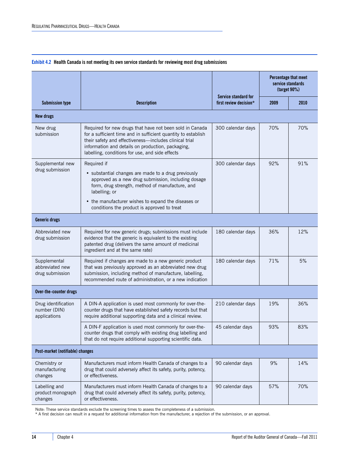|  | Exhibit 4.2 Health Canada is not meeting its own service standards for reviewing most drug submissions |  |
|--|--------------------------------------------------------------------------------------------------------|--|
|  |                                                                                                        |  |

|                                                     |                                                                                                                                                                                                                                                                                                     |                                                | $\frac{30}{6}$ | Percentage that meet<br>service standards |
|-----------------------------------------------------|-----------------------------------------------------------------------------------------------------------------------------------------------------------------------------------------------------------------------------------------------------------------------------------------------------|------------------------------------------------|----------------|-------------------------------------------|
| <b>Submission type</b>                              | <b>Description</b>                                                                                                                                                                                                                                                                                  | Service standard for<br>first review decision* | 2009           | 2010                                      |
| <b>New drugs</b>                                    |                                                                                                                                                                                                                                                                                                     |                                                |                |                                           |
| New drug<br>submission                              | Required for new drugs that have not been sold in Canada<br>for a sufficient time and in sufficient quantity to establish<br>their safety and effectiveness-includes clinical trial<br>information and details on production, packaging,<br>labelling, conditions for use, and side effects         | 300 calendar days                              | 70%            | 70%                                       |
| Supplemental new<br>drug submission                 | Required if<br>• substantial changes are made to a drug previously<br>approved as a new drug submission, including dosage<br>form, drug strength, method of manufacture, and<br>labelling; or<br>• the manufacturer wishes to expand the diseases or<br>conditions the product is approved to treat | 300 calendar days                              | 92%            | 91%                                       |
| <b>Generic drugs</b>                                |                                                                                                                                                                                                                                                                                                     |                                                |                |                                           |
| Abbreviated new<br>drug submission                  | Required for new generic drugs; submissions must include<br>evidence that the generic is equivalent to the existing<br>patented drug (delivers the same amount of medicinal<br>ingredient and at the same rate)                                                                                     | 180 calendar days                              | 36%            | 12%                                       |
| Supplemental<br>abbreviated new<br>drug submission  | Required if changes are made to a new generic product<br>that was previously approved as an abbreviated new drug<br>submission, including method of manufacture, labelling,<br>recommended route of administration, or a new indication                                                             | 180 calendar days                              | 71%            | 5%                                        |
| Over-the-counter drugs                              |                                                                                                                                                                                                                                                                                                     |                                                |                |                                           |
| Drug identification<br>number (DIN)<br>applications | A DIN-A application is used most commonly for over-the-<br>counter drugs that have established safety records but that<br>require additional supporting data and a clinical review.                                                                                                                 | 210 calendar days                              | 19%            | 36%                                       |
|                                                     | A DIN-F application is used most commonly for over-the-<br>counter drugs that comply with existing drug labelling and<br>that do not require additional supporting scientific data.                                                                                                                 | 45 calendar days                               | 93%            | 83%                                       |
| Post-market (notifiable) changes                    |                                                                                                                                                                                                                                                                                                     |                                                |                |                                           |
| Chemistry or<br>manufacturing<br>changes            | Manufacturers must inform Health Canada of changes to a<br>drug that could adversely affect its safety, purity, potency,<br>or effectiveness.                                                                                                                                                       | 90 calendar days                               | 9%             | 14%                                       |
| Labelling and<br>product monograph<br>changes       | Manufacturers must inform Health Canada of changes to a<br>drug that could adversely affect its safety, purity, potency,<br>or effectiveness.                                                                                                                                                       | 90 calendar days                               | 57%            | 70%                                       |

Note: These service standards exclude the screening times to assess the completeness of a submission.<br>\* A first decision can result in a request for additional information from the manufacturer, a rejection of the submissi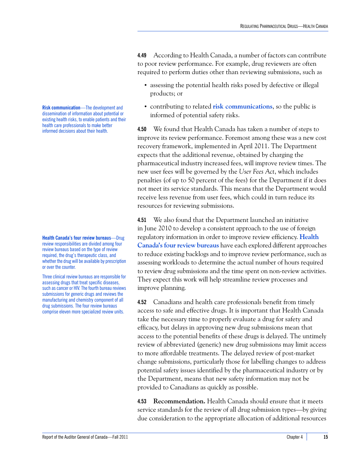**4.49** According to Health Canada, a number of factors can contribute to poor review performance. For example, drug reviewers are often required to perform duties other than reviewing submissions, such as

- **•** assessing the potential health risks posed by defective or illegal products; or
- **•** contributing to related **risk communications**, so the public is informed of potential safety risks.

**4.50** We found that Health Canada has taken a number of steps to improve its review performance. Foremost among these was a new cost recovery framework, implemented in April 2011. The Department expects that the additional revenue, obtained by charging the pharmaceutical industry increased fees, will improve review times. The new user fees will be governed by the *User Fees Act*, which includes penalties (of up to 50 percent of the fees) for the Department if it does not meet its service standards. This means that the Department would receive less revenue from user fees, which could in turn reduce its resources for reviewing submissions.

**4.51** We also found that the Department launched an initiative in June 2010 to develop a consistent approach to the use of foreign regulatory information in order to improve review efficiency. **Health Canada's four review bureaus** have each explored different approaches to reduce existing backlogs and to improve review performance, such as assessing workloads to determine the actual number of hours required to review drug submissions and the time spent on non-review activities. They expect this work will help streamline review processes and improve planning.

**4.52** Canadians and health care professionals benefit from timely access to safe and effective drugs. It is important that Health Canada take the necessary time to properly evaluate a drug for safety and efficacy, but delays in approving new drug submissions mean that access to the potential benefits of these drugs is delayed. The untimely review of abbreviated (generic) new drug submissions may limit access to more affordable treatments. The delayed review of post-market change submissions, particularly those for labelling changes to address potential safety issues identified by the pharmaceutical industry or by the Department, means that new safety information may not be provided to Canadians as quickly as possible.

**4.53 Recommendation.** Health Canada should ensure that it meets service standards for the review of all drug submission types—by giving due consideration to the appropriate allocation of additional resources

**Risk communication**—The development and dissemination of information about potential or existing health risks, to enable patients and their health care professionals to make better informed decisions about their health.

**Health Canada's four review bureaus**—Drug review responsibilities are divided among four review bureaus based on the type of review required, the drug's therapeutic class, and whether the drug will be available by prescription or over the counter.

Three clinical review bureaus are responsible for assessing drugs that treat specific diseases, such as cancer or HIV. The fourth bureau reviews submissions for generic drugs and reviews the manufacturing and chemistry component of all drug submissions. The four review bureaus comprise eleven more specialized review units.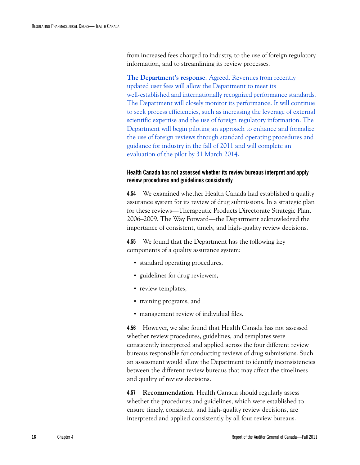from increased fees charged to industry, to the use of foreign regulatory information, and to streamlining its review processes.

**The Department's response.** Agreed. Revenues from recently updated user fees will allow the Department to meet its well-established and internationally recognized performance standards. The Department will closely monitor its performance. It will continue to seek process efficiencies, such as increasing the leverage of external scientific expertise and the use of foreign regulatory information. The Department will begin piloting an approach to enhance and formalize the use of foreign reviews through standard operating procedures and guidance for industry in the fall of 2011 and will complete an evaluation of the pilot by 31 March 2014.

#### <span id="page-21-0"></span>**Health Canada has not assessed whether its review bureaus interpret and apply review procedures and guidelines consistently**

**4.54** We examined whether Health Canada had established a quality assurance system for its review of drug submissions. In a strategic plan for these reviews—Therapeutic Products Directorate Strategic Plan, 2006–2009, The Way Forward—the Department acknowledged the importance of consistent, timely, and high-quality review decisions.

**4.55** We found that the Department has the following key components of a quality assurance system:

- **•** standard operating procedures,
- **•** guidelines for drug reviewers,
- **•** review templates,
- **•** training programs, and
- **•** management review of individual files.

**4.56** However, we also found that Health Canada has not assessed whether review procedures, guidelines, and templates were consistently interpreted and applied across the four different review bureaus responsible for conducting reviews of drug submissions. Such an assessment would allow the Department to identify inconsistencies between the different review bureaus that may affect the timeliness and quality of review decisions.

**4.57 Recommendation.** Health Canada should regularly assess whether the procedures and guidelines, which were established to ensure timely, consistent, and high-quality review decisions, are interpreted and applied consistently by all four review bureaus.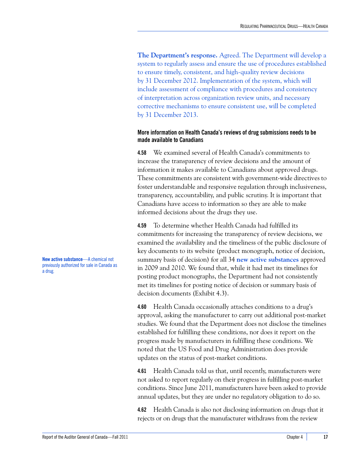**The Department's response.** Agreed. The Department will develop a system to regularly assess and ensure the use of procedures established to ensure timely, consistent, and high-quality review decisions by 31 December 2012. Implementation of the system, which will include assessment of compliance with procedures and consistency of interpretation across organization review units, and necessary corrective mechanisms to ensure consistent use, will be completed by 31 December 2013.

#### <span id="page-22-0"></span>**More information on Health Canada's reviews of drug submissions needs to be made available to Canadians**

**4.58** We examined several of Health Canada's commitments to increase the transparency of review decisions and the amount of information it makes available to Canadians about approved drugs. These commitments are consistent with government-wide directives to foster understandable and responsive regulation through inclusiveness, transparency, accountability, and public scrutiny. It is important that Canadians have access to information so they are able to make informed decisions about the drugs they use.

**4.59** To determine whether Health Canada had fulfilled its commitments for increasing the transparency of review decisions, we examined the availability and the timeliness of the public disclosure of key documents to its website (product monograph, notice of decision, summary basis of decision) for all 34 **new active substances** approved in 2009 and 2010. We found that, while it had met its timelines for posting product monographs, the Department had not consistently met its timelines for posting notice of decision or summary basis of decision documents (Exhibit 4.3).

**4.60** Health Canada occasionally attaches conditions to a drug's approval, asking the manufacturer to carry out additional post-market studies. We found that the Department does not disclose the timelines established for fulfilling these conditions, nor does it report on the progress made by manufacturers in fulfilling these conditions. We noted that the US Food and Drug Administration does provide updates on the status of post-market conditions.

**4.61** Health Canada told us that, until recently, manufacturers were not asked to report regularly on their progress in fulfilling post-market conditions. Since June 2011, manufacturers have been asked to provide annual updates, but they are under no regulatory obligation to do so.

**4.62** Health Canada is also not disclosing information on drugs that it rejects or on drugs that the manufacturer withdraws from the review

**New active substance**—A chemical not previously authorized for sale in Canada as a drug.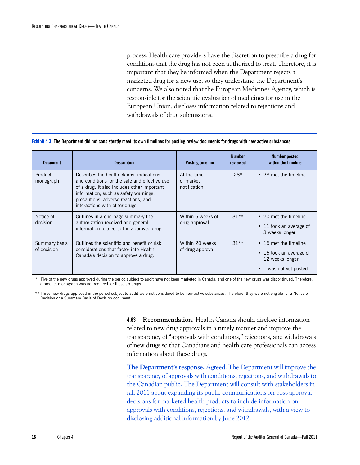process. Health care providers have the discretion to prescribe a drug for conditions that the drug has not been authorized to treat. Therefore, it is important that they be informed when the Department rejects a marketed drug for a new use, so they understand the Department's concerns. We also noted that the European Medicines Agency, which is responsible for the scientific evaluation of medicines for use in the European Union, discloses information related to rejections and withdrawals of drug submissions.

**Exhibit 4.3 The Department did not consistently meet its own timelines for posting review documents for drugs with new active substances**

| <b>Document</b>              | <b>Description</b>                                                                                                                                                                                                                                          | <b>Posting timeline</b>                  | <b>Number</b><br>reviewed | Number posted<br>within the timeline                                                                   |
|------------------------------|-------------------------------------------------------------------------------------------------------------------------------------------------------------------------------------------------------------------------------------------------------------|------------------------------------------|---------------------------|--------------------------------------------------------------------------------------------------------|
| Product<br>monograph         | Describes the health claims, indications,<br>and conditions for the safe and effective use<br>of a drug. It also includes other important<br>information, such as safety warnings,<br>precautions, adverse reactions, and<br>interactions with other drugs. | At the time<br>of market<br>notification | $28*$                     | • 28 met the timeline                                                                                  |
| Notice of<br>decision        | Outlines in a one-page summary the<br>authorization received and general<br>information related to the approved drug.                                                                                                                                       | Within 6 weeks of<br>drug approval       | $31**$                    | • 20 met the timeline<br>$\cdot$ 11 took an average of<br>3 weeks longer                               |
| Summary basis<br>of decision | Outlines the scientific and benefit or risk<br>considerations that factor into Health<br>Canada's decision to approve a drug.                                                                                                                               | Within 20 weeks<br>of drug approval      | $31**$                    | • 15 met the timeline<br>$\cdot$ 15 took an average of<br>12 weeks longer<br>1 was not yet posted<br>٠ |

Five of the new drugs approved during the period subject to audit have not been marketed in Canada, and one of the new drugs was discontinued. Therefore, a product monograph was not required for these six drugs.

\*\* Three new drugs approved in the period subject to audit were not considered to be new active substances. Therefore, they were not eligible for a Notice of Decision or a Summary Basis of Decision document.

> **4.63 Recommendation.** Health Canada should disclose information related to new drug approvals in a timely manner and improve the transparency of "approvals with conditions," rejections, and withdrawals of new drugs so that Canadians and health care professionals can access information about these drugs.

> **The Department's response.** Agreed. The Department will improve the transparency of approvals with conditions, rejections, and withdrawals to the Canadian public. The Department will consult with stakeholders in fall 2011 about expanding its public communications on post-approval decisions for marketed health products to include information on approvals with conditions, rejections, and withdrawals, with a view to disclosing additional information by June 2012.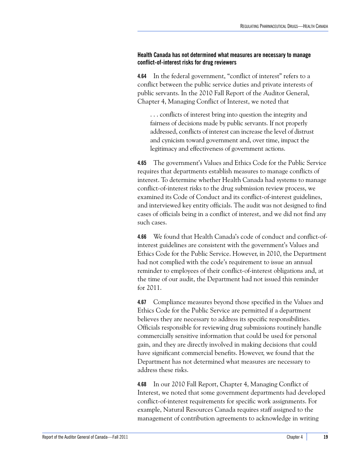#### <span id="page-24-0"></span>**Health Canada has not determined what measures are necessary to manage conflict-of-interest risks for drug reviewers**

**4.64** In the federal government, "conflict of interest" refers to a conflict between the public service duties and private interests of public servants. In the 2010 Fall Report of the Auditor General, Chapter 4, Managing Conflict of Interest, we noted that

. . . conflicts of interest bring into question the integrity and fairness of decisions made by public servants. If not properly addressed, conflicts of interest can increase the level of distrust and cynicism toward government and, over time, impact the legitimacy and effectiveness of government actions.

**4.65** The government's Values and Ethics Code for the Public Service requires that departments establish measures to manage conflicts of interest. To determine whether Health Canada had systems to manage conflict-of-interest risks to the drug submission review process, we examined its Code of Conduct and its conflict-of-interest guidelines, and interviewed key entity officials. The audit was not designed to find cases of officials being in a conflict of interest, and we did not find any such cases.

**4.66** We found that Health Canada's code of conduct and conflict-ofinterest guidelines are consistent with the government's Values and Ethics Code for the Public Service. However, in 2010, the Department had not complied with the code's requirement to issue an annual reminder to employees of their conflict-of-interest obligations and, at the time of our audit, the Department had not issued this reminder for 2011.

**4.67** Compliance measures beyond those specified in the Values and Ethics Code for the Public Service are permitted if a department believes they are necessary to address its specific responsibilities. Officials responsible for reviewing drug submissions routinely handle commercially sensitive information that could be used for personal gain, and they are directly involved in making decisions that could have significant commercial benefits. However, we found that the Department has not determined what measures are necessary to address these risks.

**4.68** In our 2010 Fall Report, Chapter 4, Managing Conflict of Interest, we noted that some government departments had developed conflict-of-interest requirements for specific work assignments. For example, Natural Resources Canada requires staff assigned to the management of contribution agreements to acknowledge in writing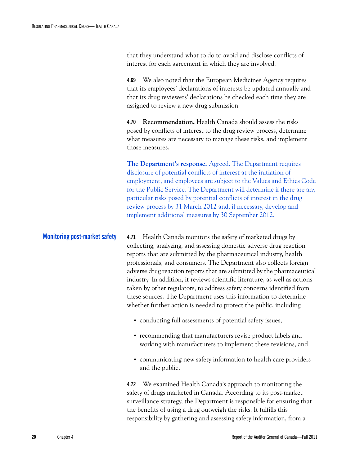that they understand what to do to avoid and disclose conflicts of interest for each agreement in which they are involved.

**4.69** We also noted that the European Medicines Agency requires that its employees' declarations of interests be updated annually and that its drug reviewers' declarations be checked each time they are assigned to review a new drug submission.

**4.70 Recommendation.** Health Canada should assess the risks posed by conflicts of interest to the drug review process, determine what measures are necessary to manage these risks, and implement those measures.

**The Department's response.** Agreed. The Department requires disclosure of potential conflicts of interest at the initiation of employment, and employees are subject to the Values and Ethics Code for the Public Service. The Department will determine if there are any particular risks posed by potential conflicts of interest in the drug review process by 31 March 2012 and, if necessary, develop and implement additional measures by 30 September 2012.

<span id="page-25-0"></span>**Monitoring post-market safety 4.71** Health Canada monitors the safety of marketed drugs by collecting, analyzing, and assessing domestic adverse drug reaction reports that are submitted by the pharmaceutical industry, health professionals, and consumers. The Department also collects foreign adverse drug reaction reports that are submitted by the pharmaceutical industry. In addition, it reviews scientific literature, as well as actions taken by other regulators, to address safety concerns identified from these sources. The Department uses this information to determine whether further action is needed to protect the public, including

- **•** conducting full assessments of potential safety issues,
- **•** recommending that manufacturers revise product labels and working with manufacturers to implement these revisions, and
- **•** communicating new safety information to health care providers and the public.

**4.72** We examined Health Canada's approach to monitoring the safety of drugs marketed in Canada. According to its post-market surveillance strategy, the Department is responsible for ensuring that the benefits of using a drug outweigh the risks. It fulfills this responsibility by gathering and assessing safety information, from a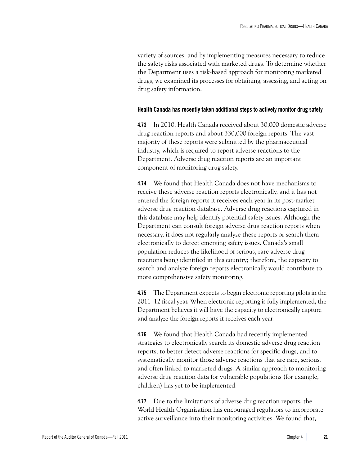variety of sources, and by implementing measures necessary to reduce the safety risks associated with marketed drugs. To determine whether the Department uses a risk-based approach for monitoring marketed drugs, we examined its processes for obtaining, assessing, and acting on drug safety information.

#### <span id="page-26-0"></span>**Health Canada has recently taken additional steps to actively monitor drug safety**

**4.73** In 2010, Health Canada received about 30,000 domestic adverse drug reaction reports and about 330,000 foreign reports. The vast majority of these reports were submitted by the pharmaceutical industry, which is required to report adverse reactions to the Department. Adverse drug reaction reports are an important component of monitoring drug safety.

**4.74** We found that Health Canada does not have mechanisms to receive these adverse reaction reports electronically, and it has not entered the foreign reports it receives each year in its post-market adverse drug reaction database. Adverse drug reactions captured in this database may help identify potential safety issues. Although the Department can consult foreign adverse drug reaction reports when necessary, it does not regularly analyze these reports or search them electronically to detect emerging safety issues. Canada's small population reduces the likelihood of serious, rare adverse drug reactions being identified in this country; therefore, the capacity to search and analyze foreign reports electronically would contribute to more comprehensive safety monitoring.

**4.75** The Department expects to begin electronic reporting pilots in the 2011–12 fiscal year. When electronic reporting is fully implemented, the Department believes it will have the capacity to electronically capture and analyze the foreign reports it receives each year.

**4.76** We found that Health Canada had recently implemented strategies to electronically search its domestic adverse drug reaction reports, to better detect adverse reactions for specific drugs, and to systematically monitor those adverse reactions that are rare, serious, and often linked to marketed drugs. A similar approach to monitoring adverse drug reaction data for vulnerable populations (for example, children) has yet to be implemented.

**4.77** Due to the limitations of adverse drug reaction reports, the World Health Organization has encouraged regulators to incorporate active surveillance into their monitoring activities. We found that,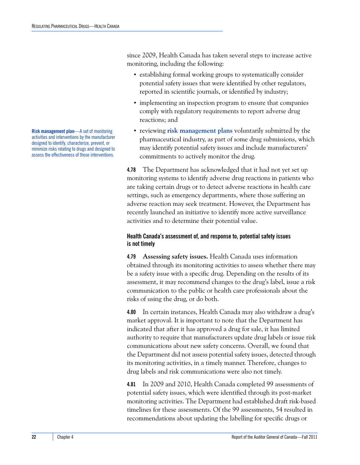since 2009, Health Canada has taken several steps to increase active monitoring, including the following:

- **•** establishing formal working groups to systematically consider potential safety issues that were identified by other regulators, reported in scientific journals, or identified by industry;
- **•** implementing an inspection program to ensure that companies comply with regulatory requirements to report adverse drug reactions; and
- **•** reviewing **risk management plans** voluntarily submitted by the pharmaceutical industry, as part of some drug submissions, which may identify potential safety issues and include manufacturers' commitments to actively monitor the drug.

**4.78** The Department has acknowledged that it had not yet set up monitoring systems to identify adverse drug reactions in patients who are taking certain drugs or to detect adverse reactions in health care settings, such as emergency departments, where those suffering an adverse reaction may seek treatment. However, the Department has recently launched an initiative to identify more active surveillance activities and to determine their potential value.

#### <span id="page-27-0"></span>**Health Canada's assessment of, and response to, potential safety issues is not timely**

**4.79 Assessing safety issues.** Health Canada uses information obtained through its monitoring activities to assess whether there may be a safety issue with a specific drug. Depending on the results of its assessment, it may recommend changes to the drug's label, issue a risk communication to the public or health care professionals about the risks of using the drug, or do both.

**4.80** In certain instances, Health Canada may also withdraw a drug's market approval. It is important to note that the Department has indicated that after it has approved a drug for sale, it has limited authority to require that manufacturers update drug labels or issue risk communications about new safety concerns. Overall, we found that the Department did not assess potential safety issues, detected through its monitoring activities, in a timely manner. Therefore, changes to drug labels and risk communications were also not timely.

**4.81** In 2009 and 2010, Health Canada completed 99 assessments of potential safety issues, which were identified through its post-market monitoring activities. The Department had established draft risk-based timelines for these assessments. Of the 99 assessments, 54 resulted in recommendations about updating the labelling for specific drugs or

**Risk management plan**—A set of monitoring activities and interventions by the manufacturer designed to identify, characterize, prevent, or minimize risks relating to drugs and designed to assess the effectiveness of those interventions.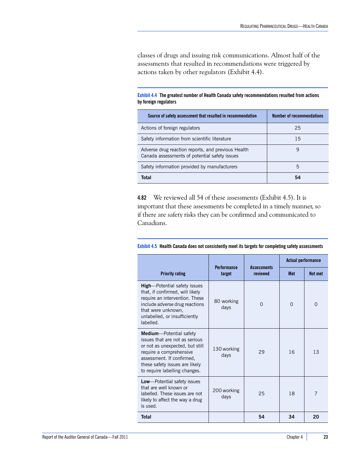classes of drugs and issuing risk communications. Almost half of the assessments that resulted in recommendations were triggered by actions taken by other regulators (Exhibit 4.4).

**Exhibit 4.4 The greatest number of Health Canada safety recommendations resulted from actions by foreign regulators**

| Source of safety assessment that resulted in recommendation                                         | <b>Number of recommendations</b> |
|-----------------------------------------------------------------------------------------------------|----------------------------------|
| Actions of foreign regulators                                                                       | 25                               |
| Safety information from scientific literature                                                       | 15                               |
| Adverse drug reaction reports, and previous Health<br>Canada assessments of potential safety issues | 9                                |
| Safety information provided by manufacturers                                                        | 5                                |
| Total                                                                                               | 54                               |

**4.82** We reviewed all 54 of these assessments (Exhibit 4.5). It is important that these assessments be completed in a timely manner, so if there are safety risks they can be confirmed and communicated to Canadians.

|                                                                                                                                                                                                                                 |                              |                                | <b>Actual performance</b> |                |
|---------------------------------------------------------------------------------------------------------------------------------------------------------------------------------------------------------------------------------|------------------------------|--------------------------------|---------------------------|----------------|
| <b>Priority rating</b>                                                                                                                                                                                                          | <b>Performance</b><br>target | <b>Assessments</b><br>reviewed | <b>Met</b>                | Not met        |
| <b>High-Potential safety issues</b><br>that, if confirmed, will likely<br>require an intervention. These<br>include adverse drug reactions<br>that were unknown,<br>unlabelled, or insufficiently<br>labelled.                  | 80 working<br>days           | $\Omega$                       | $\Omega$                  | 0              |
| <b>Medium</b> —Potential safety<br>issues that are not as serious<br>or not as unexpected, but still<br>require a comprehensive<br>assessment. If confirmed,<br>these safety issues are likely<br>to require labelling changes. | 130 working<br>days          | 29                             | 16                        | 13             |
| <b>Low</b> —Potential safety issues<br>that are well known or<br>labelled. These issues are not<br>likely to affect the way a drug<br>is used.                                                                                  | 200 working<br>days          | 25                             | 18                        | $\overline{7}$ |
| <b>Total</b>                                                                                                                                                                                                                    |                              | 54                             | 34                        | 20             |

| Exhibit 4.5 Health Canada does not consistently meet its targets for completing safety assessments |  |
|----------------------------------------------------------------------------------------------------|--|
|----------------------------------------------------------------------------------------------------|--|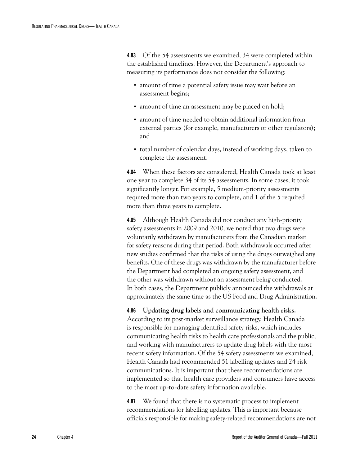**4.83** Of the 54 assessments we examined, 34 were completed within the established timelines. However, the Department's approach to measuring its performance does not consider the following:

- **•** amount of time a potential safety issue may wait before an assessment begins;
- **•** amount of time an assessment may be placed on hold;
- **•** amount of time needed to obtain additional information from external parties (for example, manufacturers or other regulators); and
- **•** total number of calendar days, instead of working days, taken to complete the assessment.

**4.84** When these factors are considered, Health Canada took at least one year to complete 34 of its 54 assessments. In some cases, it took significantly longer. For example, 5 medium-priority assessments required more than two years to complete, and 1 of the 5 required more than three years to complete.

**4.85** Although Health Canada did not conduct any high-priority safety assessments in 2009 and 2010, we noted that two drugs were voluntarily withdrawn by manufacturers from the Canadian market for safety reasons during that period. Both withdrawals occurred after new studies confirmed that the risks of using the drugs outweighed any benefits. One of these drugs was withdrawn by the manufacturer before the Department had completed an ongoing safety assessment, and the other was withdrawn without an assessment being conducted. In both cases, the Department publicly announced the withdrawals at approximately the same time as the US Food and Drug Administration.

**4.86 Updating drug labels and communicating health risks.** According to its post-market surveillance strategy, Health Canada is responsible for managing identified safety risks, which includes communicating health risks to health care professionals and the public, and working with manufacturers to update drug labels with the most recent safety information. Of the 54 safety assessments we examined, Health Canada had recommended 51 labelling updates and 24 risk communications. It is important that these recommendations are implemented so that health care providers and consumers have access to the most up-to-date safety information available.

**4.87** We found that there is no systematic process to implement recommendations for labelling updates. This is important because officials responsible for making safety-related recommendations are not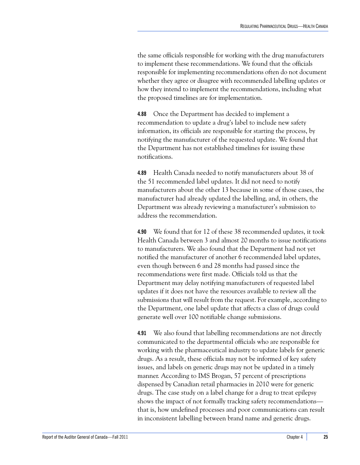the same officials responsible for working with the drug manufacturers to implement these recommendations. We found that the officials responsible for implementing recommendations often do not document whether they agree or disagree with recommended labelling updates or how they intend to implement the recommendations, including what the proposed timelines are for implementation.

**4.88** Once the Department has decided to implement a recommendation to update a drug's label to include new safety information, its officials are responsible for starting the process, by notifying the manufacturer of the requested update. We found that the Department has not established timelines for issuing these notifications.

**4.89** Health Canada needed to notify manufacturers about 38 of the 51 recommended label updates. It did not need to notify manufacturers about the other 13 because in some of those cases, the manufacturer had already updated the labelling, and, in others, the Department was already reviewing a manufacturer's submission to address the recommendation.

**4.90** We found that for 12 of these 38 recommended updates, it took Health Canada between 3 and almost 20 months to issue notifications to manufacturers. We also found that the Department had not yet notified the manufacturer of another 6 recommended label updates, even though between 6 and 28 months had passed since the recommendations were first made. Officials told us that the Department may delay notifying manufacturers of requested label updates if it does not have the resources available to review all the submissions that will result from the request. For example, according to the Department, one label update that affects a class of drugs could generate well over 100 notifiable change submissions.

**4.91** We also found that labelling recommendations are not directly communicated to the departmental officials who are responsible for working with the pharmaceutical industry to update labels for generic drugs. As a result, these officials may not be informed of key safety issues, and labels on generic drugs may not be updated in a timely manner. According to IMS Brogan, 57 percent of prescriptions dispensed by Canadian retail pharmacies in 2010 were for generic drugs. The case study on a label change for a drug to treat epilepsy shows the impact of not formally tracking safety recommendations that is, how undefined processes and poor communications can result in inconsistent labelling between brand name and generic drugs.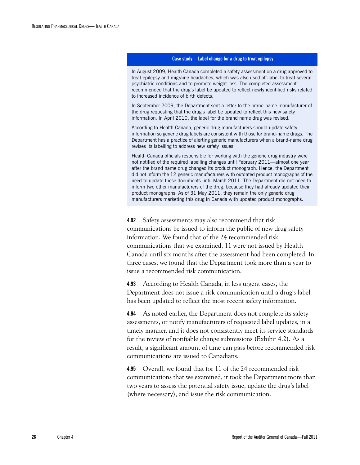#### **Case study—Label change for a drug to treat epilepsy**

In August 2009, Health Canada completed a safety assessment on a drug approved to treat epilepsy and migraine headaches, which was also used off-label to treat several psychiatric conditions and to promote weight loss. The completed assessment recommended that the drug's label be updated to reflect newly identified risks related to increased incidence of birth defects.

In September 2009, the Department sent a letter to the brand-name manufacturer of the drug requesting that the drug's label be updated to reflect this new safety information. In April 2010, the label for the brand name drug was revised.

According to Health Canada, generic drug manufacturers should update safety information so generic drug labels are consistent with those for brand-name drugs. The Department has a practice of alerting generic manufacturers when a brand-name drug revises its labelling to address new safety issues.

Health Canada officials responsible for working with the generic drug industry were not notified of the required labelling changes until February 2011—almost one year after the brand name drug changed its product monograph. Hence, the Department did not inform the 12 generic manufacturers with outdated product monographs of the need to update these documents until March 2011. The Department did not need to inform two other manufacturers of the drug, because they had already updated their product monographs. As of 31 May 2011, they remain the only generic drug manufacturers marketing this drug in Canada with updated product monographs.

**4.92** Safety assessments may also recommend that risk communications be issued to inform the public of new drug safety information. We found that of the 24 recommended risk communications that we examined, 11 were not issued by Health Canada until six months after the assessment had been completed. In three cases, we found that the Department took more than a year to issue a recommended risk communication.

**4.93** According to Health Canada, in less urgent cases, the Department does not issue a risk communication until a drug's label has been updated to reflect the most recent safety information.

**4.94** As noted earlier, the Department does not complete its safety assessments, or notify manufacturers of requested label updates, in a timely manner, and it does not consistently meet its service standards for the review of notifiable change submissions (Exhibit 4.2). As a result, a significant amount of time can pass before recommended risk communications are issued to Canadians.

**4.95** Overall, we found that for 11 of the 24 recommended risk communications that we examined, it took the Department more than two years to assess the potential safety issue, update the drug's label (where necessary), and issue the risk communication.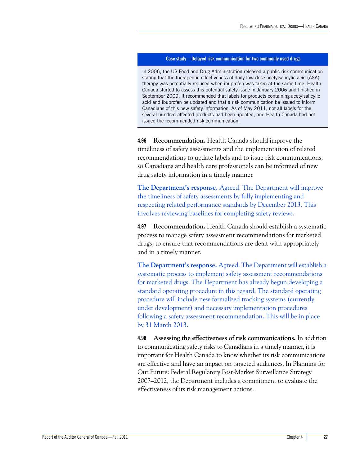#### **Case study—Delayed risk communication for two commonly used drugs**

In 2006, the US Food and Drug Administration released a public risk communication stating that the therapeutic effectiveness of daily low-dose acetylsalicylic acid (ASA) therapy was potentially reduced when ibuprofen was taken at the same time. Health Canada started to assess this potential safety issue in January 2006 and finished in September 2009. It recommended that labels for products containing acetylsalicylic acid and ibuprofen be updated and that a risk communication be issued to inform Canadians of this new safety information. As of May 2011, not all labels for the several hundred affected products had been updated, and Health Canada had not issued the recommended risk communication.

**4.96 Recommendation.** Health Canada should improve the timeliness of safety assessments and the implementation of related recommendations to update labels and to issue risk communications, so Canadians and health care professionals can be informed of new drug safety information in a timely manner.

**The Department's response.** Agreed. The Department will improve the timeliness of safety assessments by fully implementing and respecting related performance standards by December 2013. This involves reviewing baselines for completing safety reviews.

**4.97 Recommendation.** Health Canada should establish a systematic process to manage safety assessment recommendations for marketed drugs, to ensure that recommendations are dealt with appropriately and in a timely manner.

**The Department's response.** Agreed. The Department will establish a systematic process to implement safety assessment recommendations for marketed drugs. The Department has already begun developing a standard operating procedure in this regard. The standard operating procedure will include new formalized tracking systems (currently under development) and necessary implementation procedures following a safety assessment recommendation. This will be in place by 31 March 2013.

**4.98 Assessing the effectiveness of risk communications.** In addition to communicating safety risks to Canadians in a timely manner, it is important for Health Canada to know whether its risk communications are effective and have an impact on targeted audiences. In Planning for Our Future: Federal Regulatory Post-Market Surveillance Strategy 2007–2012, the Department includes a commitment to evaluate the effectiveness of its risk management actions.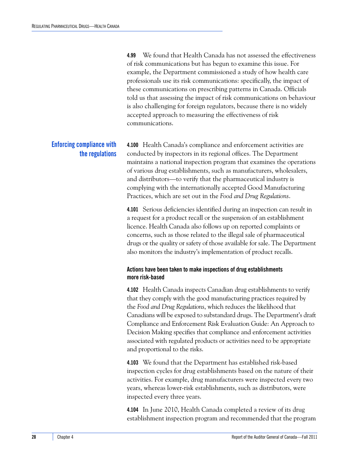**4.99** We found that Health Canada has not assessed the effectiveness of risk communications but has begun to examine this issue. For example, the Department commissioned a study of how health care professionals use its risk communications: specifically, the impact of these communications on prescribing patterns in Canada. Officials told us that assessing the impact of risk communications on behaviour is also challenging for foreign regulators, because there is no widely accepted approach to measuring the effectiveness of risk communications.

## <span id="page-33-0"></span>**Enforcing compliance with the regulations**

**4.100** Health Canada's compliance and enforcement activities are conducted by inspectors in its regional offices. The Department maintains a national inspection program that examines the operations of various drug establishments, such as manufacturers, wholesalers, and distributors—to verify that the pharmaceutical industry is complying with the internationally accepted Good Manufacturing Practices, which are set out in the *Food and Drug Regulations*.

**4.101** Serious deficiencies identified during an inspection can result in a request for a product recall or the suspension of an establishment licence. Health Canada also follows up on reported complaints or concerns, such as those related to the illegal sale of pharmaceutical drugs or the quality or safety of those available for sale. The Department also monitors the industry's implementation of product recalls.

#### <span id="page-33-1"></span>**Actions have been taken to make inspections of drug establishments more risk-based**

**4.102** Health Canada inspects Canadian drug establishments to verify that they comply with the good manufacturing practices required by the *Food and Drug Regulations*, which reduces the likelihood that Canadians will be exposed to substandard drugs. The Department's draft Compliance and Enforcement Risk Evaluation Guide: An Approach to Decision Making specifies that compliance and enforcement activities associated with regulated products or activities need to be appropriate and proportional to the risks.

**4.103** We found that the Department has established risk-based inspection cycles for drug establishments based on the nature of their activities. For example, drug manufacturers were inspected every two years, whereas lower-risk establishments, such as distributors, were inspected every three years.

**4.104** In June 2010, Health Canada completed a review of its drug establishment inspection program and recommended that the program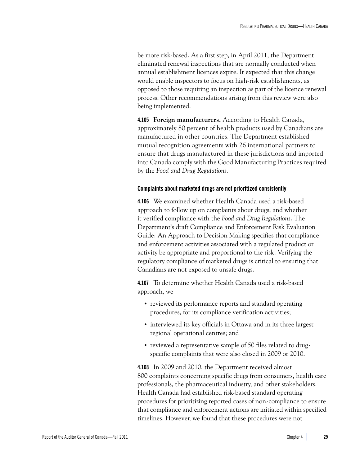be more risk-based. As a first step, in April 2011, the Department eliminated renewal inspections that are normally conducted when annual establishment licences expire. It expected that this change would enable inspectors to focus on high-risk establishments, as opposed to those requiring an inspection as part of the licence renewal process. Other recommendations arising from this review were also being implemented.

**4.105 Foreign manufacturers.** According to Health Canada, approximately 80 percent of health products used by Canadians are manufactured in other countries. The Department established mutual recognition agreements with 26 international partners to ensure that drugs manufactured in these jurisdictions and imported into Canada comply with the Good Manufacturing Practices required by the *Food and Drug Regulations*.

#### <span id="page-34-0"></span>**Complaints about marketed drugs are not prioritized consistently**

**4.106** We examined whether Health Canada used a risk-based approach to follow up on complaints about drugs, and whether it verified compliance with the *Food and Drug Regulations*. The Department's draft Compliance and Enforcement Risk Evaluation Guide: An Approach to Decision Making specifies that compliance and enforcement activities associated with a regulated product or activity be appropriate and proportional to the risk. Verifying the regulatory compliance of marketed drugs is critical to ensuring that Canadians are not exposed to unsafe drugs.

**4.107** To determine whether Health Canada used a risk-based approach, we

- **•** reviewed its performance reports and standard operating procedures, for its compliance verification activities;
- **•** interviewed its key officials in Ottawa and in its three largest regional operational centres; and
- reviewed a representative sample of 50 files related to drugspecific complaints that were also closed in 2009 or 2010.

**4.108** In 2009 and 2010, the Department received almost 800 complaints concerning specific drugs from consumers, health care professionals, the pharmaceutical industry, and other stakeholders. Health Canada had established risk-based standard operating procedures for prioritizing reported cases of non-compliance to ensure that compliance and enforcement actions are initiated within specified timelines. However, we found that these procedures were not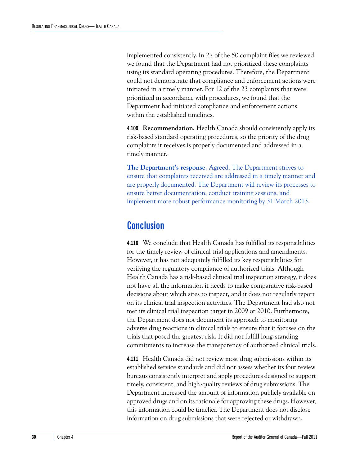implemented consistently. In 27 of the 50 complaint files we reviewed, we found that the Department had not prioritized these complaints using its standard operating procedures. Therefore, the Department could not demonstrate that compliance and enforcement actions were initiated in a timely manner. For 12 of the 23 complaints that were prioritized in accordance with procedures, we found that the Department had initiated compliance and enforcement actions within the established timelines.

**4.109 Recommendation.** Health Canada should consistently apply its risk-based standard operating procedures, so the priority of the drug complaints it receives is properly documented and addressed in a timely manner.

**The Department's response.** Agreed. The Department strives to ensure that complaints received are addressed in a timely manner and are properly documented. The Department will review its processes to ensure better documentation, conduct training sessions, and implement more robust performance monitoring by 31 March 2013.

## <span id="page-35-0"></span>**Conclusion**

**4.110** We conclude that Health Canada has fulfilled its responsibilities for the timely review of clinical trial applications and amendments. However, it has not adequately fulfilled its key responsibilities for verifying the regulatory compliance of authorized trials. Although Health Canada has a risk-based clinical trial inspection strategy, it does not have all the information it needs to make comparative risk-based decisions about which sites to inspect, and it does not regularly report on its clinical trial inspection activities. The Department had also not met its clinical trial inspection target in 2009 or 2010. Furthermore, the Department does not document its approach to monitoring adverse drug reactions in clinical trials to ensure that it focuses on the trials that posed the greatest risk. It did not fulfill long-standing commitments to increase the transparency of authorized clinical trials.

**4.111** Health Canada did not review most drug submissions within its established service standards and did not assess whether its four review bureaus consistently interpret and apply procedures designed to support timely, consistent, and high-quality reviews of drug submissions. The Department increased the amount of information publicly available on approved drugs and on its rationale for approving these drugs. However, this information could be timelier. The Department does not disclose information on drug submissions that were rejected or withdrawn.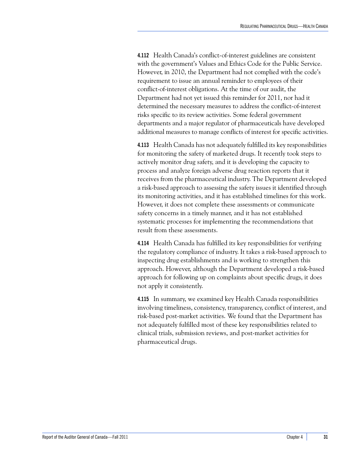**4.112** Health Canada's conflict-of-interest guidelines are consistent with the government's Values and Ethics Code for the Public Service. However, in 2010, the Department had not complied with the code's requirement to issue an annual reminder to employees of their conflict-of-interest obligations. At the time of our audit, the Department had not yet issued this reminder for 2011, nor had it determined the necessary measures to address the conflict-of-interest risks specific to its review activities. Some federal government departments and a major regulator of pharmaceuticals have developed additional measures to manage conflicts of interest for specific activities.

**4.113** Health Canada has not adequately fulfilled its key responsibilities for monitoring the safety of marketed drugs. It recently took steps to actively monitor drug safety, and it is developing the capacity to process and analyze foreign adverse drug reaction reports that it receives from the pharmaceutical industry. The Department developed a risk-based approach to assessing the safety issues it identified through its monitoring activities, and it has established timelines for this work. However, it does not complete these assessments or communicate safety concerns in a timely manner, and it has not established systematic processes for implementing the recommendations that result from these assessments.

**4.114** Health Canada has fulfilled its key responsibilities for verifying the regulatory compliance of industry. It takes a risk-based approach to inspecting drug establishments and is working to strengthen this approach. However, although the Department developed a risk-based approach for following up on complaints about specific drugs, it does not apply it consistently.

**4.115** In summary, we examined key Health Canada responsibilities involving timeliness, consistency, transparency, conflict of interest, and risk-based post-market activities. We found that the Department has not adequately fulfilled most of these key responsibilities related to clinical trials, submission reviews, and post-market activities for pharmaceutical drugs.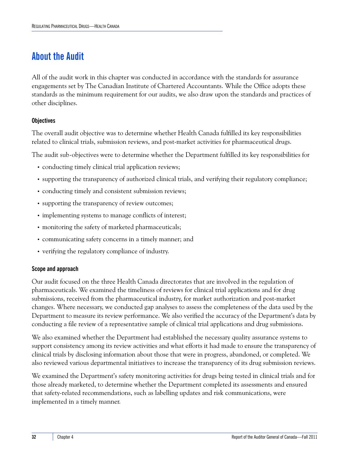## <span id="page-37-0"></span>**About the Audit**

All of the audit work in this chapter was conducted in accordance with the standards for assurance engagements set by The Canadian Institute of Chartered Accountants. While the Office adopts these standards as the minimum requirement for our audits, we also draw upon the standards and practices of other disciplines.

### **Objectives**

The overall audit objective was to determine whether Health Canada fulfilled its key responsibilities related to clinical trials, submission reviews, and post-market activities for pharmaceutical drugs.

The audit sub-objectives were to determine whether the Department fulfilled its key responsibilities for

- conducting timely clinical trial application reviews;
- **•** supporting the transparency of authorized clinical trials, and verifying their regulatory compliance;
- **•** conducting timely and consistent submission reviews;
- supporting the transparency of review outcomes;
- implementing systems to manage conflicts of interest;
- **•** monitoring the safety of marketed pharmaceuticals;
- **•** communicating safety concerns in a timely manner; and
- **•** verifying the regulatory compliance of industry.

#### **Scope and approach**

Our audit focused on the three Health Canada directorates that are involved in the regulation of pharmaceuticals. We examined the timeliness of reviews for clinical trial applications and for drug submissions, received from the pharmaceutical industry, for market authorization and post-market changes. Where necessary, we conducted gap analyses to assess the completeness of the data used by the Department to measure its review performance. We also verified the accuracy of the Department's data by conducting a file review of a representative sample of clinical trial applications and drug submissions.

We also examined whether the Department had established the necessary quality assurance systems to support consistency among its review activities and what efforts it had made to ensure the transparency of clinical trials by disclosing information about those that were in progress, abandoned, or completed. We also reviewed various departmental initiatives to increase the transparency of its drug submission reviews.

We examined the Department's safety monitoring activities for drugs being tested in clinical trials and for those already marketed, to determine whether the Department completed its assessments and ensured that safety-related recommendations, such as labelling updates and risk communications, were implemented in a timely manner.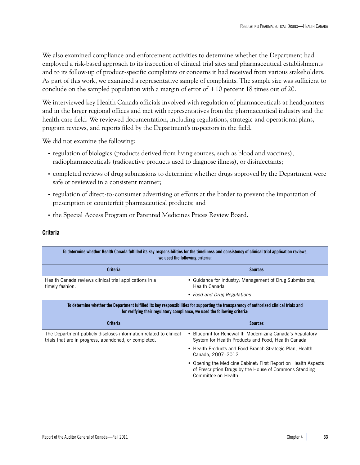We also examined compliance and enforcement activities to determine whether the Department had employed a risk-based approach to its inspection of clinical trial sites and pharmaceutical establishments and to its follow-up of product-specific complaints or concerns it had received from various stakeholders. As part of this work, we examined a representative sample of complaints. The sample size was sufficient to conclude on the sampled population with a margin of error of  $+10$  percent 18 times out of 20.

We interviewed key Health Canada officials involved with regulation of pharmaceuticals at headquarters and in the larger regional offices and met with representatives from the pharmaceutical industry and the health care field. We reviewed documentation, including regulations, strategic and operational plans, program reviews, and reports filed by the Department's inspectors in the field.

We did not examine the following:

- **•** regulation of biologics (products derived from living sources, such as blood and vaccines), radiopharmaceuticals (radioactive products used to diagnose illness), or disinfectants;
- **•** completed reviews of drug submissions to determine whether drugs approved by the Department were safe or reviewed in a consistent manner;
- **•** regulation of direct-to-consumer advertising or efforts at the border to prevent the importation of prescription or counterfeit pharmaceutical products; and
- **•** the Special Access Program or Patented Medicines Prices Review Board.

#### **Criteria**

|                                                                                                                                                                                                                        | To determine whether Health Canada fulfilled its key responsibilities for the timeliness and consistency of clinical trial application reviews,<br>we used the following criteria: |  |
|------------------------------------------------------------------------------------------------------------------------------------------------------------------------------------------------------------------------|------------------------------------------------------------------------------------------------------------------------------------------------------------------------------------|--|
| <b>Criteria</b>                                                                                                                                                                                                        | <b>Sources</b>                                                                                                                                                                     |  |
| Health Canada reviews clinical trial applications in a<br>timely fashion.                                                                                                                                              | • Guidance for Industry: Management of Drug Submissions,<br>Health Canada                                                                                                          |  |
|                                                                                                                                                                                                                        | • Food and Drug Regulations                                                                                                                                                        |  |
| To determine whether the Department fulfilled its key responsibilities for supporting the transparency of authorized clinical trials and<br>for verifying their regulatory compliance, we used the following criteria. |                                                                                                                                                                                    |  |
|                                                                                                                                                                                                                        |                                                                                                                                                                                    |  |
| <b>Criteria</b>                                                                                                                                                                                                        | <b>Sources</b>                                                                                                                                                                     |  |
| The Department publicly discloses information related to clinical<br>trials that are in progress, abandoned, or completed.                                                                                             | Blueprint for Renewal II: Modernizing Canada's Regulatory<br>٠<br>System for Health Products and Food, Health Canada                                                               |  |
|                                                                                                                                                                                                                        | • Health Products and Food Branch Strategic Plan, Health<br>Canada, 2007-2012                                                                                                      |  |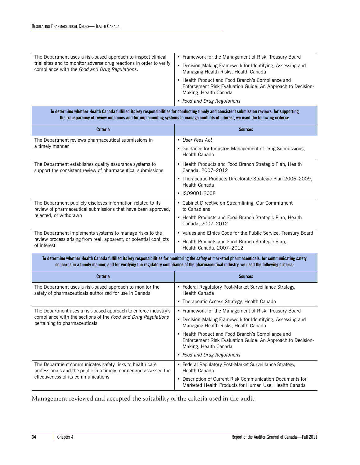| The Department uses a risk-based approach to inspect clinical        | • Framework for the Management of Risk, Treasury Board                                                                                                                   |
|----------------------------------------------------------------------|--------------------------------------------------------------------------------------------------------------------------------------------------------------------------|
| trial sites and to monitor adverse drug reactions in order to verify | Decision-Making Framework for Identifying, Assessing and                                                                                                                 |
| compliance with the Food and Drug Regulations.                       | Managing Health Risks, Health Canada                                                                                                                                     |
|                                                                      | • Health Product and Food Branch's Compliance and<br>Enforcement Risk Evaluation Guide: An Approach to Decision-<br>Making, Health Canada<br>• Food and Drug Regulations |

| To determine whether Health Canada fulfilled its key responsibilities for conducting timely and consistent submission reviews, for supporting |
|-----------------------------------------------------------------------------------------------------------------------------------------------|
| the transparency of review outcomes and for implementing systems to manage conflicts of interest, we used the following criteria:             |

| Criteria                                                                                                                                                                                                                                                                                          | <b>Sources</b>                                                                                                                            |  |
|---------------------------------------------------------------------------------------------------------------------------------------------------------------------------------------------------------------------------------------------------------------------------------------------------|-------------------------------------------------------------------------------------------------------------------------------------------|--|
| The Department reviews pharmaceutical submissions in                                                                                                                                                                                                                                              | • User Fees Act                                                                                                                           |  |
| a timely manner.                                                                                                                                                                                                                                                                                  | • Guidance for Industry: Management of Drug Submissions,<br>Health Canada                                                                 |  |
| The Department establishes quality assurance systems to<br>support the consistent review of pharmaceutical submissions                                                                                                                                                                            | • Health Products and Food Branch Strategic Plan, Health<br>Canada, 2007-2012                                                             |  |
|                                                                                                                                                                                                                                                                                                   | • Therapeutic Products Directorate Strategic Plan 2006-2009,<br>Health Canada                                                             |  |
|                                                                                                                                                                                                                                                                                                   | · ISO9001:2008                                                                                                                            |  |
| The Department publicly discloses information related to its<br>review of pharmaceutical submissions that have been approved,                                                                                                                                                                     | • Cabinet Directive on Streamlining, Our Commitment<br>to Canadians                                                                       |  |
| rejected, or withdrawn                                                                                                                                                                                                                                                                            | • Health Products and Food Branch Strategic Plan, Health<br>Canada, 2007-2012                                                             |  |
| The Department implements systems to manage risks to the                                                                                                                                                                                                                                          | • Values and Ethics Code for the Public Service, Treasury Board                                                                           |  |
| review process arising from real, apparent, or potential conflicts<br>of interest                                                                                                                                                                                                                 | • Health Products and Food Branch Strategic Plan,<br>Health Canada, 2007-2012                                                             |  |
| To determine whether Health Canada fulfilled its key responsibilities for monitoring the safety of marketed pharmaceuticals, for communicating safety<br>concerns in a timely manner, and for verifying the regulatory compliance of the pharmaceutical industry, we used the following criteria: |                                                                                                                                           |  |
|                                                                                                                                                                                                                                                                                                   |                                                                                                                                           |  |
| <b>Criteria</b>                                                                                                                                                                                                                                                                                   | <b>Sources</b>                                                                                                                            |  |
| The Department uses a risk-based approach to monitor the<br>safety of pharmaceuticals authorized for use in Canada                                                                                                                                                                                | • Federal Regulatory Post-Market Surveillance Strategy,<br>Health Canada                                                                  |  |
|                                                                                                                                                                                                                                                                                                   | • Therapeutic Access Strategy, Health Canada                                                                                              |  |
| The Department uses a risk-based approach to enforce industry's                                                                                                                                                                                                                                   | • Framework for the Management of Risk, Treasury Board                                                                                    |  |
| compliance with the sections of the Food and Drug Regulations<br>pertaining to pharmaceuticals                                                                                                                                                                                                    | • Decision-Making Framework for Identifying, Assessing and<br>Managing Health Risks, Health Canada                                        |  |
|                                                                                                                                                                                                                                                                                                   | • Health Product and Food Branch's Compliance and<br>Enforcement Risk Evaluation Guide: An Approach to Decision-<br>Making, Health Canada |  |
|                                                                                                                                                                                                                                                                                                   | • Food and Drug Regulations                                                                                                               |  |
| The Department communicates safety risks to health care<br>professionals and the public in a timely manner and assessed the<br>effectiveness of its communications                                                                                                                                | • Federal Regulatory Post-Market Surveillance Strategy,<br>Health Canada                                                                  |  |

Management reviewed and accepted the suitability of the criteria used in the audit.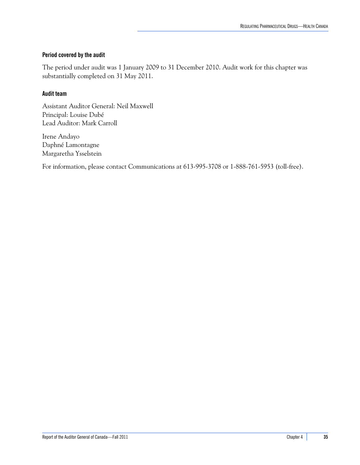#### **Period covered by the audit**

The period under audit was 1 January 2009 to 31 December 2010. Audit work for this chapter was substantially completed on 31 May 2011.

#### **Audit team**

Assistant Auditor General: Neil Maxwell Principal: Louise Dubé Lead Auditor: Mark Carroll

Irene Andayo Daphné Lamontagne Margaretha Ysselstein

For information, please contact Communications at 613-995-3708 or 1-888-761-5953 (toll-free).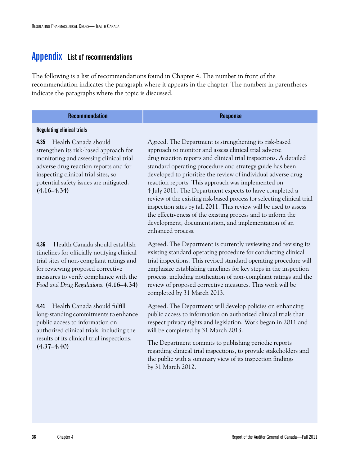## <span id="page-41-1"></span><span id="page-41-0"></span>**Appendix List of recommendations**

The following is a list of recommendations found in Chapter 4. The number in front of the recommendation indicates the paragraph where it appears in the chapter. The numbers in parentheses indicate the paragraphs where the topic is discussed.

| <b>Recommendation</b> | טטווט<br>. |
|-----------------------|------------|

#### **Regulating clinical trials**

**4.35** Health Canada should strengthen its risk-based approach for monitoring and assessing clinical trial adverse drug reaction reports and for inspecting clinical trial sites, so potential safety issues are mitigated. **(4.16–4.34)**

**4.36** Health Canada should establish timelines for officially notifying clinical trial sites of non-compliant ratings and for reviewing proposed corrective measures to verify compliance with the *Food and Drug Regulations.* **(4.16–4.34)**

**4.41** Health Canada should fulfill long-standing commitments to enhance public access to information on authorized clinical trials, including the results of its clinical trial inspections. **(4.37–4.40)**

Agreed. The Department is strengthening its risk-based approach to monitor and assess clinical trial adverse drug reaction reports and clinical trial inspections. A detailed standard operating procedure and strategy guide has been developed to prioritize the review of individual adverse drug reaction reports. This approach was implemented on 4 July 2011. The Department expects to have completed a review of the existing risk-based process for selecting clinical trial inspection sites by fall 2011. This review will be used to assess the effectiveness of the existing process and to inform the development, documentation, and implementation of an enhanced process.

Agreed. The Department is currently reviewing and revising its existing standard operating procedure for conducting clinical trial inspections. This revised standard operating procedure will emphasize establishing timelines for key steps in the inspection process, including notification of non-compliant ratings and the review of proposed corrective measures. This work will be completed by 31 March 2013.

Agreed. The Department will develop policies on enhancing public access to information on authorized clinical trials that respect privacy rights and legislation. Work began in 2011 and will be completed by 31 March 2013.

The Department commits to publishing periodic reports regarding clinical trial inspections, to provide stakeholders and the public with a summary view of its inspection findings by 31 March 2012.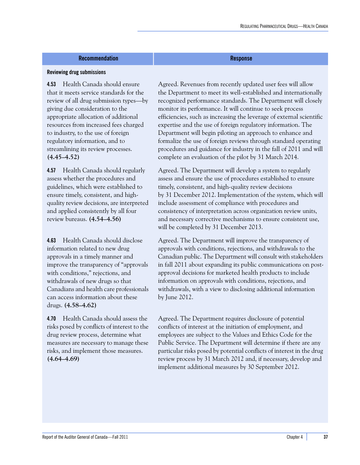#### **Recommendation Response**

#### **Reviewing drug submissions**

**4.53** Health Canada should ensure that it meets service standards for the review of all drug submission types—by giving due consideration to the appropriate allocation of additional resources from increased fees charged to industry, to the use of foreign regulatory information, and to streamlining its review processes. **(4.45–4.52)**

**4.57** Health Canada should regularly assess whether the procedures and guidelines, which were established to ensure timely, consistent, and highquality review decisions, are interpreted and applied consistently by all four review bureaus. **(4.54–4.56)**

**4.63** Health Canada should disclose information related to new drug approvals in a timely manner and improve the transparency of "approvals with conditions," rejections, and withdrawals of new drugs so that Canadians and health care professionals can access information about these drugs. **(4.58–4.62)**

**4.70** Health Canada should assess the risks posed by conflicts of interest to the drug review process, determine what measures are necessary to manage these risks, and implement those measures. **(4.64–4.69)**

Agreed. Revenues from recently updated user fees will allow the Department to meet its well-established and internationally recognized performance standards. The Department will closely monitor its performance. It will continue to seek process efficiencies, such as increasing the leverage of external scientific expertise and the use of foreign regulatory information. The Department will begin piloting an approach to enhance and formalize the use of foreign reviews through standard operating procedures and guidance for industry in the fall of 2011 and will complete an evaluation of the pilot by 31 March 2014.

Agreed. The Department will develop a system to regularly assess and ensure the use of procedures established to ensure timely, consistent, and high-quality review decisions by 31 December 2012. Implementation of the system, which will include assessment of compliance with procedures and consistency of interpretation across organization review units, and necessary corrective mechanisms to ensure consistent use, will be completed by 31 December 2013.

Agreed. The Department will improve the transparency of approvals with conditions, rejections, and withdrawals to the Canadian public. The Department will consult with stakeholders in fall 2011 about expanding its public communications on postapproval decisions for marketed health products to include information on approvals with conditions, rejections, and withdrawals, with a view to disclosing additional information by June 2012.

Agreed. The Department requires disclosure of potential conflicts of interest at the initiation of employment, and employees are subject to the Values and Ethics Code for the Public Service. The Department will determine if there are any particular risks posed by potential conflicts of interest in the drug review process by 31 March 2012 and, if necessary, develop and implement additional measures by 30 September 2012.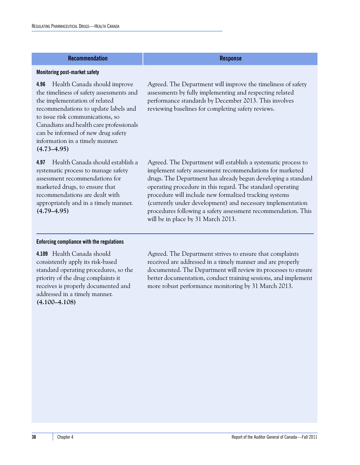#### **Recommendation Response**

#### **Monitoring post-market safety**

**4.96** Health Canada should improve the timeliness of safety assessments and the implementation of related recommendations to update labels and to issue risk communications, so Canadians and health care professionals can be informed of new drug safety information in a timely manner. **(4.73–4.95)**

**4.97** Health Canada should establish a systematic process to manage safety assessment recommendations for marketed drugs, to ensure that recommendations are dealt with appropriately and in a timely manner. **(4.79–4.95)**

## Agreed. The Department will improve the timeliness of safety assessments by fully implementing and respecting related performance standards by December 2013. This involves reviewing baselines for completing safety reviews.

Agreed. The Department will establish a systematic process to implement safety assessment recommendations for marketed drugs. The Department has already begun developing a standard operating procedure in this regard. The standard operating procedure will include new formalized tracking systems (currently under development) and necessary implementation procedures following a safety assessment recommendation. This will be in place by 31 March 2013.

#### **Enforcing compliance with the regulations**

**4.109** Health Canada should consistently apply its risk-based standard operating procedures, so the priority of the drug complaints it receives is properly documented and addressed in a timely manner. **(4.100–4.108)**

Agreed. The Department strives to ensure that complaints received are addressed in a timely manner and are properly documented. The Department will review its processes to ensure better documentation, conduct training sessions, and implement more robust performance monitoring by 31 March 2013.